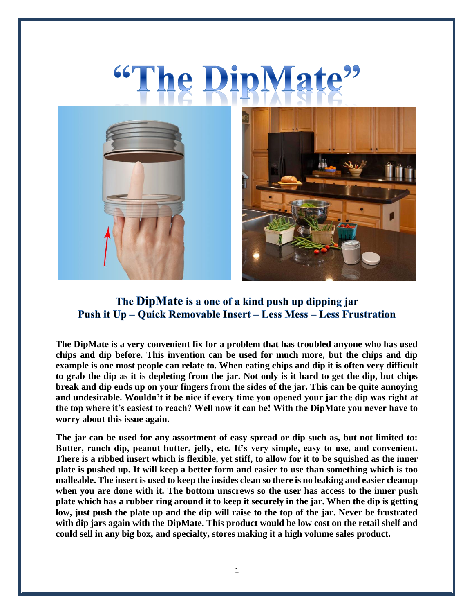# The DipMate<sup>22</sup>



## The DipMate is a one of a kind push up dipping jar **Push it Up – Quick Removable Insert – Less Mess – Less Frustration**

**The DipMate is a very convenient fix for a problem that has troubled anyone who has used chips and dip before. This invention can be used for much more, but the chips and dip example is one most people can relate to. When eating chips and dip it is often very difficult to grab the dip as it is depleting from the jar. Not only is it hard to get the dip, but chips break and dip ends up on your fingers from the sides of the jar. This can be quite annoying and undesirable. Wouldn't it be nice if every time you opened your jar the dip was right at the top where it's easiest to reach? Well now it can be! With the DipMate you never have to worry about this issue again.** 

**The jar can be used for any assortment of easy spread or dip such as, but not limited to: Butter, ranch dip, peanut butter, jelly, etc. It's very simple, easy to use, and convenient. There is a ribbed insert which is flexible, yet stiff, to allow for it to be squished as the inner plate is pushed up. It will keep a better form and easier to use than something which is too malleable. The insert is used to keep the insides clean so there is no leaking and easier cleanup when you are done with it. The bottom unscrews so the user has access to the inner push plate which has a rubber ring around it to keep it securely in the jar. When the dip is getting low, just push the plate up and the dip will raise to the top of the jar. Never be frustrated with dip jars again with the DipMate. This product would be low cost on the retail shelf and could sell in any big box, and specialty, stores making it a high volume sales product.**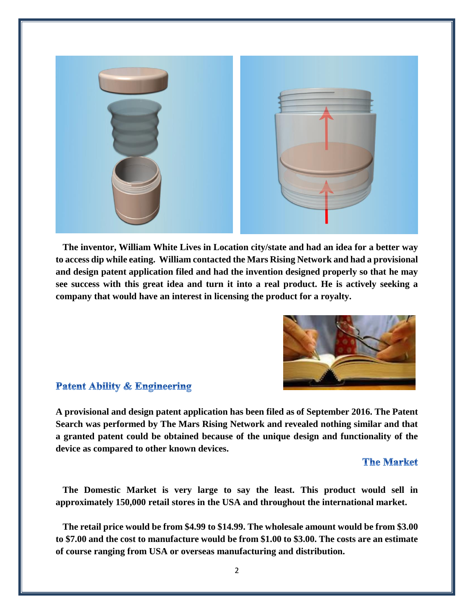

 **The inventor, William White Lives in Location city/state and had an idea for a better way to access dip while eating. William contacted the Mars Rising Network and had a provisional and design patent application filed and had the invention designed properly so that he may see success with this great idea and turn it into a real product. He is actively seeking a company that would have an interest in licensing the product for a royalty.**



#### **Patent Ability & Engineering**

**A provisional and design patent application has been filed as of September 2016. The Patent Search was performed by The Mars Rising Network and revealed nothing similar and that a granted patent could be obtained because of the unique design and functionality of the device as compared to other known devices.** 

#### **The Market**

 **The Domestic Market is very large to say the least. This product would sell in approximately 150,000 retail stores in the USA and throughout the international market.**

 **The retail price would be from \$4.99 to \$14.99. The wholesale amount would be from \$3.00 to \$7.00 and the cost to manufacture would be from \$1.00 to \$3.00. The costs are an estimate of course ranging from USA or overseas manufacturing and distribution.**